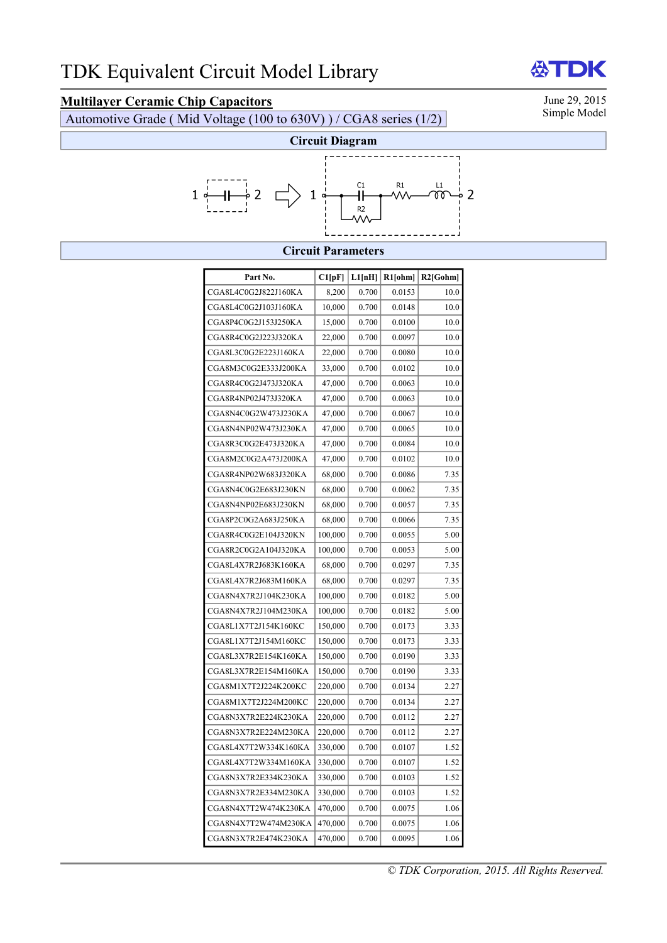## **Multilayer Ceramic Chip Capacitors** June 29, 2015<br>Automotive Grade (Mid Voltage (100 to 630V)) / CGA8 series (1/2) Simple Model

Automotive Grade ( Mid Voltage (100 to 630V) ) / CGA8 series (1/2)



## **Circuit Parameters**

| Part No.             | C1[pF]  | L1[nH] | $R1$ [ohm] | $R2$ [Gohm] |
|----------------------|---------|--------|------------|-------------|
| CGA8L4C0G2J822J160KA | 8,200   | 0.700  | 0.0153     | 10.0        |
| CGA8L4C0G2J103J160KA | 10,000  | 0.700  | 0.0148     | 10.0        |
| CGA8P4C0G2J153J250KA | 15,000  | 0.700  | 0.0100     | 10.0        |
| CGA8R4C0G2J223J320KA | 22,000  | 0.700  | 0.0097     | 10.0        |
| CGA8L3C0G2E223J160KA | 22,000  | 0.700  | 0.0080     | 10.0        |
| CGA8M3C0G2E333J200KA | 33,000  | 0.700  | 0.0102     | 10.0        |
| CGA8R4C0G2J473J320KA | 47,000  | 0.700  | 0.0063     | 10.0        |
| CGA8R4NP02J473J320KA | 47,000  | 0.700  | 0.0063     | 10.0        |
| CGA8N4C0G2W473J230KA | 47,000  | 0.700  | 0.0067     | 10.0        |
| CGA8N4NP02W473J230KA | 47,000  | 0.700  | 0.0065     | 10.0        |
| CGA8R3C0G2E473J320KA | 47,000  | 0.700  | 0.0084     | 10.0        |
| CGA8M2C0G2A473J200KA | 47,000  | 0.700  | 0.0102     | 10.0        |
| CGA8R4NP02W683J320KA | 68,000  | 0.700  | 0.0086     | 7.35        |
| CGA8N4C0G2E683J230KN | 68,000  | 0.700  | 0.0062     | 7.35        |
| CGA8N4NP02E683J230KN | 68,000  | 0.700  | 0.0057     | 7.35        |
| CGA8P2C0G2A683J250KA | 68,000  | 0.700  | 0.0066     | 7.35        |
| CGA8R4C0G2E104J320KN | 100,000 | 0.700  | 0.0055     | 5.00        |
| CGA8R2C0G2A104J320KA | 100,000 | 0.700  | 0.0053     | 5.00        |
| CGA8L4X7R2J683K160KA | 68,000  | 0.700  | 0.0297     | 7.35        |
| CGA8L4X7R2J683M160KA | 68,000  | 0.700  | 0.0297     | 7.35        |
| CGA8N4X7R2J104K230KA | 100,000 | 0.700  | 0.0182     | 5.00        |
| CGA8N4X7R2J104M230KA | 100,000 | 0.700  | 0.0182     | 5.00        |
| CGA8L1X7T2J154K160KC | 150,000 | 0.700  | 0.0173     | 3.33        |
| CGA8L1X7T2J154M160KC | 150,000 | 0.700  | 0.0173     | 3.33        |
| CGA8L3X7R2E154K160KA | 150,000 | 0.700  | 0.0190     | 3.33        |
| CGA8L3X7R2E154M160KA | 150,000 | 0.700  | 0.0190     | 3.33        |
| CGA8M1X7T2J224K200KC | 220,000 | 0.700  | 0.0134     | 2.27        |
| CGA8M1X7T2J224M200KC | 220,000 | 0.700  | 0.0134     | 2.27        |
| CGA8N3X7R2E224K230KA | 220,000 | 0.700  | 0.0112     | 2.27        |
| CGA8N3X7R2E224M230KA | 220,000 | 0.700  | 0.0112     | 2.27        |
| CGA8L4X7T2W334K160KA | 330,000 | 0.700  | 0.0107     | 1.52        |
| CGA8L4X7T2W334M160KA | 330,000 | 0.700  | 0.0107     | 1.52        |
| CGA8N3X7R2E334K230KA | 330,000 | 0.700  | 0.0103     | 1.52        |
| CGA8N3X7R2E334M230KA | 330,000 | 0.700  | 0.0103     | 1.52        |
| CGA8N4X7T2W474K230KA | 470,000 | 0.700  | 0.0075     | 1.06        |
| CGA8N4X7T2W474M230KA | 470,000 | 0.700  | 0.0075     | 1.06        |
| CGA8N3X7R2E474K230KA | 470,000 | 0.700  | 0.0095     | 1.06        |

DK 份